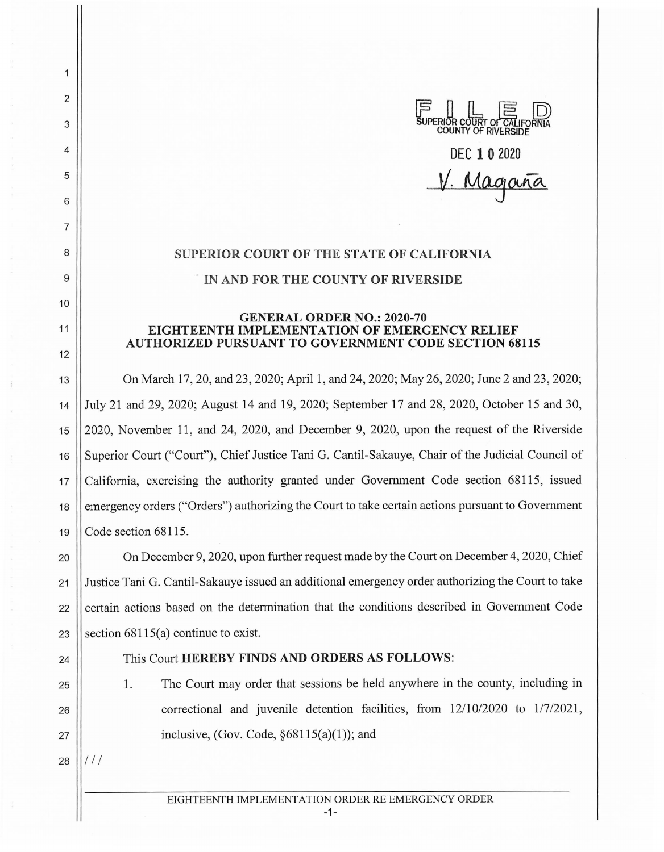## **DEC 10 <sup>2020</sup>**

V. Magañ

## **SUPERIOR COURT OF THE STATE OF CALIFORNIA** . **IN AND FOR THE COUNTY OF RIVERSIDE**

## **GENERAL ORDER NO.: 2020-70 EIGHTEENTH IMPLEMENTATION OF EMERGENCY RELIEF AUTHORIZED PURSUANT TO GOVERNMENT CODE SECTION 68115**

13 On March 17, 20, and 23, 2020; April 1, and 24, 2020; May 26, 2020; June 2 and 23, 2020; 14 July 21 and 29, 2020; August 14 and 19, 2020; September 17 and 28, 2020, October 15 and 30, 15 | 2020, November 11, and 24, 2020, and December 9, 2020, upon the request of the Riverside 16 Superior Court ("Court"), Chief Justice Tani G. Cantil-Sakauye, Chair of the Judicial Council of 17 California, exercising the authority granted under Government Code section 68115, issued 18 emergency orders ("Orders") authorizing the Court to take certain actions pursuant to Government 19  $\vert$  Code section 68115.

20 **On December 9, 2020, upon further request made by the Court on December 4, 2020, Chief** 21 Justice Tani G. Cantil-Sakauye issued an additional emergency order authorizing the Court to take 22 certain actions based on the determination that the conditions described in Government Code 23 Section  $68115(a)$  continue to exist.

2

1

3

4

5

6

7

8

9

10

11

12

## 24 || This Court **HEREBY FINDS AND ORDERS AS FOLLOWS:**

25 1. The Court may order that sessions be held anywhere in the county, including in  $26$  || correctional and juvenile detention facilities, from  $12/10/2020$  to  $1/7/2021$ , 27  $\vert$  inclusive, (Gov. Code,  $\S 68115(a)(1)$ ); and

 $28$   $\frac{1}{1}$  / /